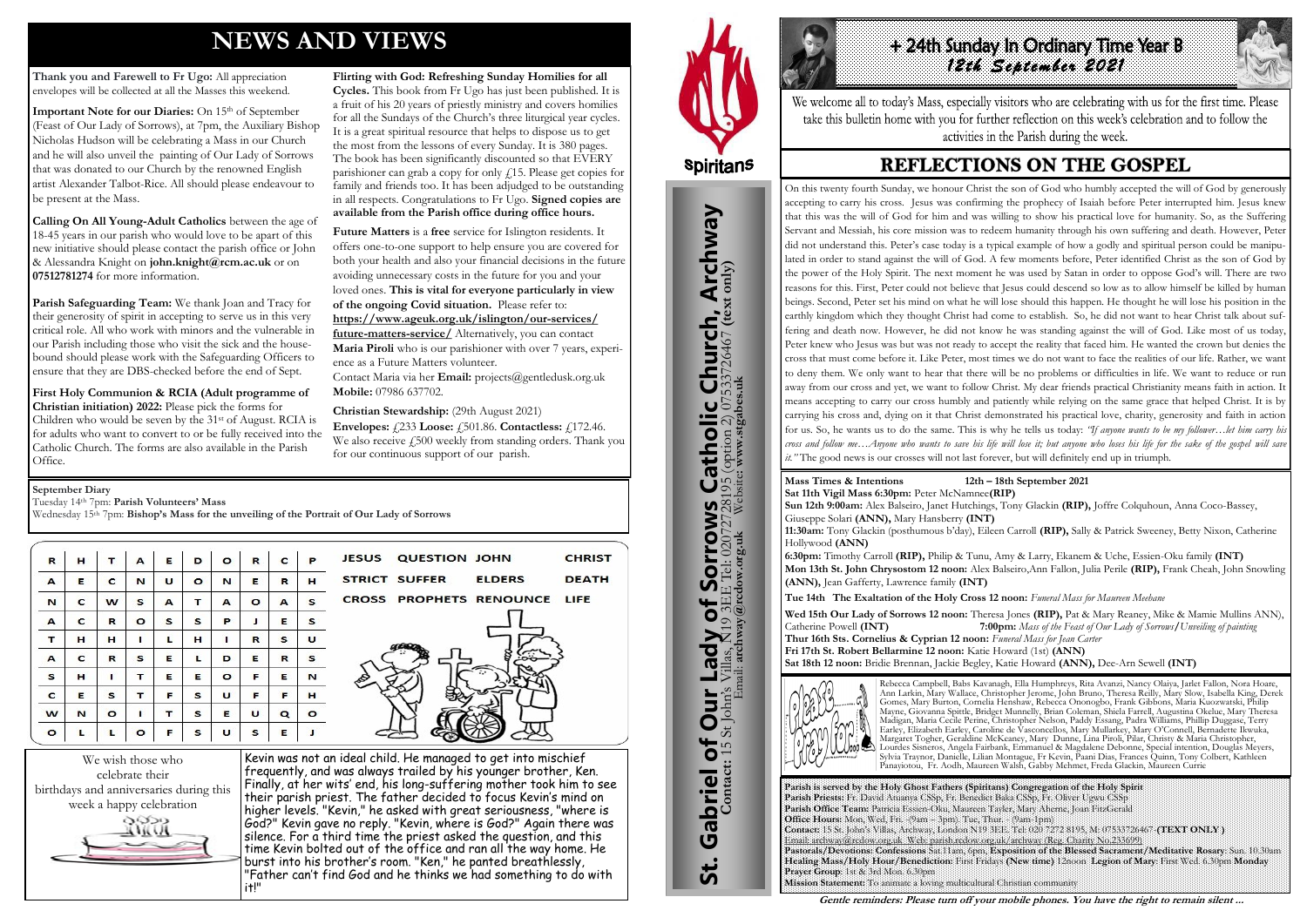## **NEWS AND VIEWS**

**Thank you and Farewell to Fr Ugo:** All appreciation envelopes will be collected at all the Masses this weekend.

**Important Note for our Diaries:** On 15th of September (Feast of Our Lady of Sorrows), at 7pm, the Auxiliary Bishop Nicholas Hudson will be celebrating a Mass in our Church and he will also unveil the painting of Our Lady of Sorrows that was donated to our Church by the renowned English artist Alexander Talbot-Rice. All should please endeavour to be present at the Mass.

**Calling On All Young-Adult Catholics** between the age of 18-45 years in our parish who would love to be apart of this new initiative should please contact the parish office or John & Alessandra Knight on **john.knight@rcm.ac.uk** or on **07512781274** for more information.

**Parish Safeguarding Team:** We thank Joan and Tracy for their generosity of spirit in accepting to serve us in this very critical role. All who work with minors and the vulnerable in our Parish including those who visit the sick and the housebound should please work with the Safeguarding Officers to ensure that they are DBS-checked before the end of Sept.

**First Holy Communion & RCIA (Adult programme of Christian initiation) 2022:** Please pick the forms for Children who would be seven by the 31st of August. RCIA is for adults who want to convert to or be fully received into the Catholic Church. The forms are also available in the Parish Office.

**Flirting with God: Refreshing Sunday Homilies for all Cycles.** This book from Fr Ugo has just been published. It is a fruit of his 20 years of priestly ministry and covers homilies for all the Sundays of the Church's three liturgical year cycles. It is a great spiritual resource that helps to dispose us to get the most from the lessons of every Sunday. It is 380 pages. The book has been significantly discounted so that EVERY parishioner can grab a copy for only  $f$ 15. Please get copies for family and friends too. It has been adjudged to be outstanding in all respects. Congratulations to Fr Ugo. **Signed copies are available from the Parish office during office hours.**

# +24th Sunday In Ordinary Time Year B *12th September 2021*

## **REFLECTIONS ON THE GOSPEL**

**Future Matters** is a **free** service for Islington residents. It offers one-to-one support to help ensure you are covered for both your health and also your financial decisions in the future avoiding unnecessary costs in the future for you and your loved ones. **This is vital for everyone particularly in view of the ongoing Covid situation.** Please refer to: **[https://www.ageuk.org.uk/islington/our-services/](https://www.ageuk.org.uk/islington/our-services/future-matters-service/) [future-matters-service/](https://www.ageuk.org.uk/islington/our-services/future-matters-service/)** Alternatively, you can contact **Maria Piroli** who is our parishioner with over 7 years, experience as a Future Matters volunteer.

Contact Maria via her **Email:** [projects@gentledusk.org.uk](mailto:projects@gentledusk.org.uk)  **Mobile:** 07986 637702.

**Christian Stewardship:** (29th August 2021) **Envelopes:** £233 **Loose:** £501.86. **Contactless:** £172.46. We also receive  $\sqrt{500}$  weekly from standing orders. Thank you for our continuous support of our parish.

**ELDERS** 

CROSS PROPHETS RENOUNCE LIFE



Kevin was not an ideal child. He managed to get into mischief frequently, and was always trailed by his younger brother, Ken. Finally, at her wits' end, his long-suffering mother took him to see their parish priest. The father decided to focus Kevin's mind on higher levels. "Kevin," he asked with great seriousness, "where is God?" Kevin gave no reply. "Kevin, where is God?" Again there was silence. For a third time the priest asked the question, and this time Kevin bolted out of the office and ran all the way home. He burst into his brother's room. "Ken," he panted breathlessly, "Father can't find God and he thinks we had something to do with it!"

**JESUS QUESTION JOHN** 

**STRICT SUFFER** 



St. Gabriel of Our Lady of Sorrows Catholic Church, Archway

bf

Lady

**Our** 

Gabriel of Our

<u>ჭ</u>

**CHRIST** 

**DEATH** 

**Sorrows**<br>E Tel: 020727281

**IS Catholic Church, Archway**<br>28195 (option 2) 07533726467 (text only)

#### **September Diary**

Tuesday 14th 7pm: **Parish Volunteers' Mass**

Wednesday 15<sup>th</sup> 7pm: **Bishop's Mass for the unveiling of the Portrait of Our Lady of Sorrows** 

| $\mathbf R$  | н | T | А       | Е | D       | $\circ$ | R       | $\mathbf{C}$ | P       |
|--------------|---|---|---------|---|---------|---------|---------|--------------|---------|
| $\mathbf{A}$ | Е | c | N       | U | $\circ$ | N       | Е       | R            | н       |
| N            | c | w | s       | A | т       | А       | $\circ$ | А            | s       |
| A            | c | R | $\circ$ | s | s       | P       | J       | Е            | s       |
| т            | н | н | п       | L | н       | ı       | R       | s            | U       |
| А            | c | R | S       | Е | L       | D       | Е       | R            | s       |
| s            | н | п | т       | Е | Е       | $\circ$ | F       | Е            | N       |
| c            | Е | s | т       | F | s       | U       | F       | F            | н       |
| w            | N | o | п       | т | s       | Е       | U       | Q            | $\circ$ |
| $\bullet$    | L | L | $\circ$ | F | s       | U       | s       | E            | л       |

**Parish is served by the Holy Ghost Fathers (Spiritans) Congregation of the Holy Spirit Parish Priests:** Fr. David Atuanya CSSp, Fr. Benedict Baka CSSp, Fr. Oliver Ugwu CSSp **Parish Office Team:** Patricia Essien-Oku, Maureen Tayler, Mary Aherne, Joan FitzGerald **Office Hours:** Mon, Wed, Fri. -(9am – 3pm). Tue, Thur. - (9am-1pm) **Contact:** 15 St. John's Villas, Archway, London N19 3EE. Tel: 020 7272 8195, M: 07533726467-**(TEXT ONLY )** Email: archway@rcdow.org.uk Web: parish.rcdow.org.uk/archway (Reg. Charity No.233699) **Pastorals/Devotions: Confessions** Sat.11am, 6pm, **Exposition of the Blessed Sacrament/Meditative Rosary**: Sun. 10.30am **Healing Mass/Holy Hour/Benediction:** First Fridays **(New time)** 12noon **Legion of Mary**: First Wed. 6.30pm **Monday Prayer Group**: 1st & 3rd Mon. 6.30pm **Mission Statement:** To animate a loving multicultural Christian community

**Contact:** 15 St John's Villas, N19 3EE Tel: 02072728195 (option 2) 07533726467 **(text only)** Email: **archway@rcdow.org.uk** Website**: www.stgabes.uk**

i's Villas, N19 3EE Tel: 0207<br>Email: **archway@redow.org.uk** 

#### **Mass Times & Intentions 12th – 18th September 2021**

**Sat 11th Vigil Mass 6:30pm:** Peter McNamnee**(RIP) Sun 12th 9:00am:** Alex Balseiro, Janet Hutchings, Tony Glackin **(RIP),** Joffre Colquhoun, Anna Coco-Bassey, Giuseppe Solari **(ANN),** Mary Hansberry **(INT) 11:30am:** Tony Glackin (posthumous b'day), Eileen Carroll **(RIP),** Sally & Patrick Sweeney, Betty Nixon, Catherine Hollywood **(ANN)**

**6:30pm:** Timothy Carroll **(RIP),** Philip & Tunu, Amy & Larry, Ekanem & Uche, Essien-Oku family **(INT) Mon 13th St. John Chrysostom 12 noon:** Alex Balseiro,Ann Fallon, Julia Perile **(RIP),** Frank Cheah, John Snowling **(ANN),** Jean Gafferty, Lawrence family **(INT)**

**Tue 14th The Exaltation of the Holy Cross 12 noon:** *Funeral Mass for Maureen Meehane*

**Wed 15th Our Lady of Sorrows 12 noon:** Theresa Jones **(RIP),** Pat & Mary Reaney, Mike & Mamie Mullins ANN), Catherine Powell **(INT) 7:00pm:** *Mass of the Feast of Our Lady of Sorrows***/***Unveiling of painting* **Thur 16th Sts. Cornelius & Cyprian 12 noon:** *Funeral Mass for Jean Carter* **Fri 17th St. Robert Bellarmine 12 noon:** Katie Howard (1st) **(ANN) Sat 18th 12 noon:** Bridie Brennan, Jackie Begley, Katie Howard **(ANN),** Dee-Arn Sewell **(INT)**



Rebecca Campbell, Babs Kavanagh, Ella Humphreys, Rita Avanzi, Nancy Olaiya, Jarlet Fallon, Nora Hoare, Ann Larkin, Mary Wallace, Christopher Jerome, John Bruno, Theresa Reilly, Mary Slow, Isabella King, Derek Gomes, Mary Burton, Cornelia Henshaw, Rebecca Ononogbo, Frank Gibbons, Maria Kuozwatski, Philip Mayne, Giovanna Spittle, Bridget Munnelly, Brian Coleman, Shiela Farrell, Augustina Okelue, Mary Theresa Madigan, Maria Cecile Perine, Christopher Nelson, Paddy Essang, Padra Williams, Phillip Duggase, Terry Earley, Elizabeth Earley, Caroline de Vasconcellos, Mary Mullarkey, Mary O'Connell, Bernadette Ikwuka, Margaret Togher, Geraldine McKeaney, Mary Dunne, Lina Piroli, Pilar, Christy & Maria Christopher, Lourdes Sisneros, Angela Fairbank, Emmanuel & Magdalene Debonne, Special intention, Douglas Meyers, Sylvia Traynor, Danielle, Lilian Montague, Fr Kevin, Paani Dias, Frances Quinn, Tony Colbert, Kathleen Panayiotou, Fr. Aodh, Maureen Walsh, Gabby Mehmet, Freda Glackin, Maureen Currie

**Gentle reminders: Please turn off your mobile phones. You have the right to remain silent ...** 

We welcome all to today's Mass, especially visitors who are celebrating with us for the first time. Please take this bulletin home with you for further reflection on this week's celebration and to follow the activities in the Parish during the week.

On this twenty fourth Sunday, we honour Christ the son of God who humbly accepted the will of God by generously accepting to carry his cross. Jesus was confirming the prophecy of Isaiah before Peter interrupted him. Jesus knew that this was the will of God for him and was willing to show his practical love for humanity. So, as the Suffering Servant and Messiah, his core mission was to redeem humanity through his own suffering and death. However, Peter did not understand this. Peter's case today is a typical example of how a godly and spiritual person could be manipulated in order to stand against the will of God. A few moments before, Peter identified Christ as the son of God by the power of the Holy Spirit. The next moment he was used by Satan in order to oppose God's will. There are two reasons for this. First, Peter could not believe that Jesus could descend so low as to allow himself be killed by human beings. Second, Peter set his mind on what he will lose should this happen. He thought he will lose his position in the earthly kingdom which they thought Christ had come to establish. So, he did not want to hear Christ talk about suffering and death now. However, he did not know he was standing against the will of God. Like most of us today, Peter knew who Jesus was but was not ready to accept the reality that faced him. He wanted the crown but denies the cross that must come before it. Like Peter, most times we do not want to face the realities of our life. Rather, we want to deny them. We only want to hear that there will be no problems or difficulties in life. We want to reduce or run away from our cross and yet, we want to follow Christ. My dear friends practical Christianity means faith in action. It means accepting to carry our cross humbly and patiently while relying on the same grace that helped Christ. It is by carrying his cross and, dying on it that Christ demonstrated his practical love, charity, generosity and faith in action for us. So, he wants us to do the same. This is why he tells us today: *"If anyone wants to be my follower…let him carry his cross and follow me…Anyone who wants to save his life will lose it; but anyone who loses his life for the sake of the gospel will save it."* The good news is our crosses will not last forever, but will definitely end up in triumph.